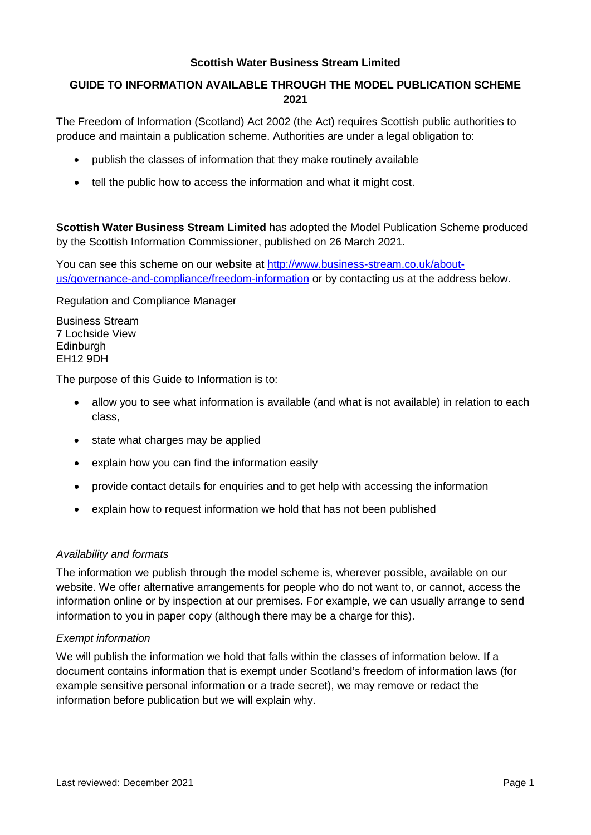#### **Scottish Water Business Stream Limited**

## **GUIDE TO INFORMATION AVAILABLE THROUGH THE MODEL PUBLICATION SCHEME 2021**

The Freedom of Information (Scotland) Act 2002 (the Act) requires Scottish public authorities to produce and maintain a publication scheme. Authorities are under a legal obligation to:

- publish the classes of information that they make routinely available
- tell the public how to access the information and what it might cost.

**Scottish Water Business Stream Limited** has adopted the Model Publication Scheme produced by the Scottish Information Commissioner, published on 26 March 2021.

You can see this scheme on our website at [http://www.business-stream.co.uk/about](http://www.business-stream.co.uk/about-us/governance-and-compliance/freedom-information)[us/governance-and-compliance/freedom-information](http://www.business-stream.co.uk/about-us/governance-and-compliance/freedom-information) or by contacting us at the address below.

Regulation and Compliance Manager

Business Stream 7 Lochside View **Edinburgh** EH12 9DH

The purpose of this Guide to Information is to:

- allow you to see what information is available (and what is not available) in relation to each class,
- state what charges may be applied
- explain how you can find the information easily
- provide contact details for enquiries and to get help with accessing the information
- explain how to request information we hold that has not been published

#### *Availability and formats*

The information we publish through the model scheme is, wherever possible, available on our website. We offer alternative arrangements for people who do not want to, or cannot, access the information online or by inspection at our premises. For example, we can usually arrange to send information to you in paper copy (although there may be a charge for this).

#### *Exempt information*

We will publish the information we hold that falls within the classes of information below. If a document contains information that is exempt under Scotland's freedom of information laws (for example sensitive personal information or a trade secret), we may remove or redact the information before publication but we will explain why.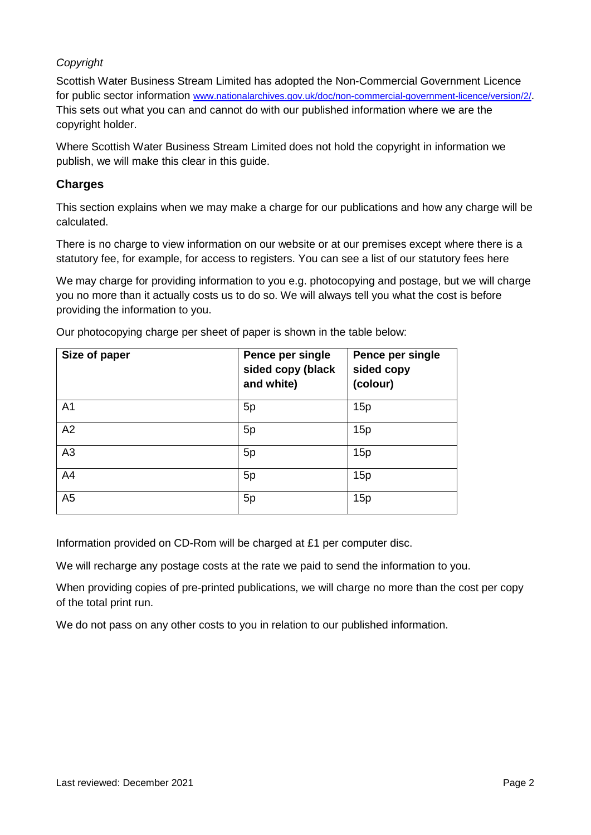## *Copyright*

Scottish Water Business Stream Limited has adopted the Non-Commercial Government Licence for public sector information [www.nationalarchives.gov.uk/doc/non-commercial-government-licence/version/2/.](http://www.nationalarchives.gov.uk/doc/non-commercial-government-licence/version/2/) This sets out what you can and cannot do with our published information where we are the copyright holder.

Where Scottish Water Business Stream Limited does not hold the copyright in information we publish, we will make this clear in this guide.

## **Charges**

This section explains when we may make a charge for our publications and how any charge will be calculated.

There is no charge to view information on our website or at our premises except where there is a statutory fee, for example, for access to registers. You can see a list of our statutory fees here

We may charge for providing information to you e.g. photocopying and postage, but we will charge you no more than it actually costs us to do so. We will always tell you what the cost is before providing the information to you.

| Size of paper  | Pence per single<br>sided copy (black<br>and white) | Pence per single<br>sided copy<br>(colour) |
|----------------|-----------------------------------------------------|--------------------------------------------|
| A <sub>1</sub> | 5p                                                  | 15p                                        |
| A2             | 5p                                                  | 15p                                        |
| A3             | 5p                                                  | 15p                                        |
| A4             | 5p                                                  | 15p                                        |
| A <sub>5</sub> | 5p                                                  | 15p                                        |

Our photocopying charge per sheet of paper is shown in the table below:

Information provided on CD-Rom will be charged at £1 per computer disc.

We will recharge any postage costs at the rate we paid to send the information to you.

When providing copies of pre-printed publications, we will charge no more than the cost per copy of the total print run.

We do not pass on any other costs to you in relation to our published information.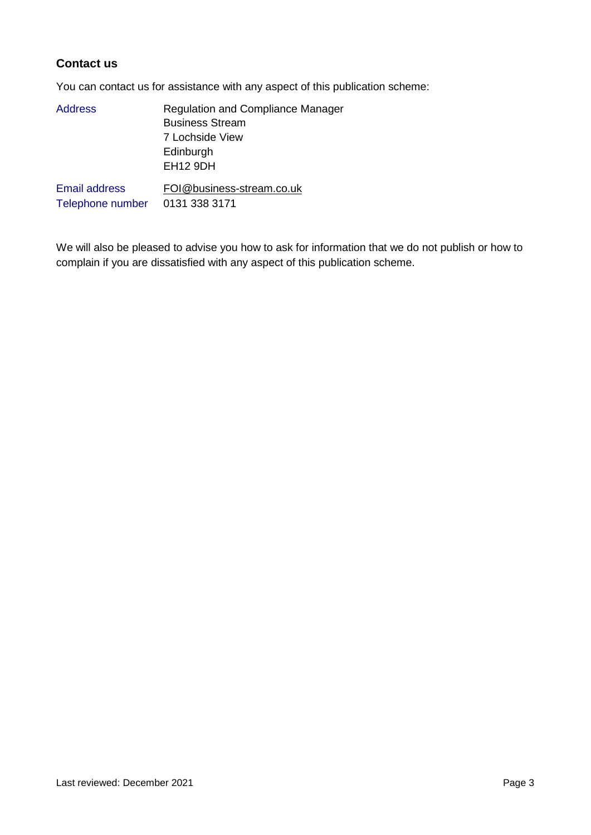## **Contact us**

You can contact us for assistance with any aspect of this publication scheme:

| <b>Address</b>       | <b>Regulation and Compliance Manager</b> |
|----------------------|------------------------------------------|
|                      | <b>Business Stream</b>                   |
|                      | 7 Lochside View                          |
|                      | Edinburgh                                |
|                      | <b>EH12 9DH</b>                          |
| <b>Email address</b> | FOI@business-stream.co.uk                |
| Telephone number     | 0131 338 3171                            |

We will also be pleased to advise you how to ask for information that we do not publish or how to complain if you are dissatisfied with any aspect of this publication scheme.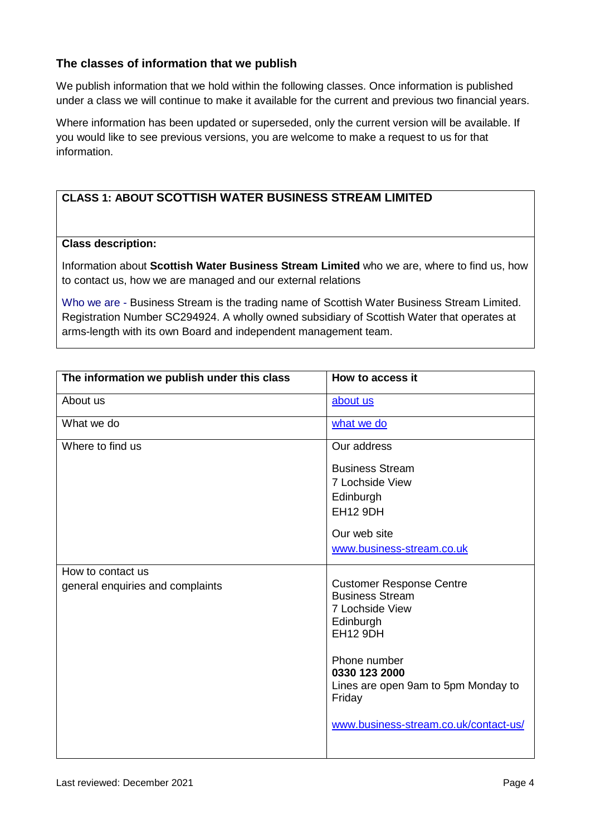## **The classes of information that we publish**

We publish information that we hold within the following classes. Once information is published under a class we will continue to make it available for the current and previous two financial years.

Where information has been updated or superseded, only the current version will be available. If you would like to see previous versions, you are welcome to make a request to us for that information.

## **CLASS 1: ABOUT SCOTTISH WATER BUSINESS STREAM LIMITED**

#### **Class description:**

Information about **Scottish Water Business Stream Limited** who we are, where to find us, how to contact us, how we are managed and our external relations

Who we are - Business Stream is the trading name of Scottish Water Business Stream Limited. Registration Number SC294924. A wholly owned subsidiary of Scottish Water that operates at arms-length with its own Board and independent management team.

| The information we publish under this class           | How to access it                                                                                                                              |
|-------------------------------------------------------|-----------------------------------------------------------------------------------------------------------------------------------------------|
| About us                                              | about us                                                                                                                                      |
| What we do                                            | what we do                                                                                                                                    |
| Where to find us                                      | Our address                                                                                                                                   |
|                                                       | <b>Business Stream</b>                                                                                                                        |
|                                                       | 7 Lochside View                                                                                                                               |
|                                                       | Edinburgh                                                                                                                                     |
|                                                       | <b>EH12 9DH</b>                                                                                                                               |
|                                                       | Our web site                                                                                                                                  |
|                                                       | www.business-stream.co.uk                                                                                                                     |
|                                                       |                                                                                                                                               |
| How to contact us<br>general enquiries and complaints | <b>Customer Response Centre</b><br><b>Business Stream</b><br>7 Lochside View<br>Edinburgh<br><b>EH12 9DH</b><br>Phone number<br>0330 123 2000 |
|                                                       | Lines are open 9am to 5pm Monday to<br>Friday<br>www.business-stream.co.uk/contact-us/                                                        |
|                                                       |                                                                                                                                               |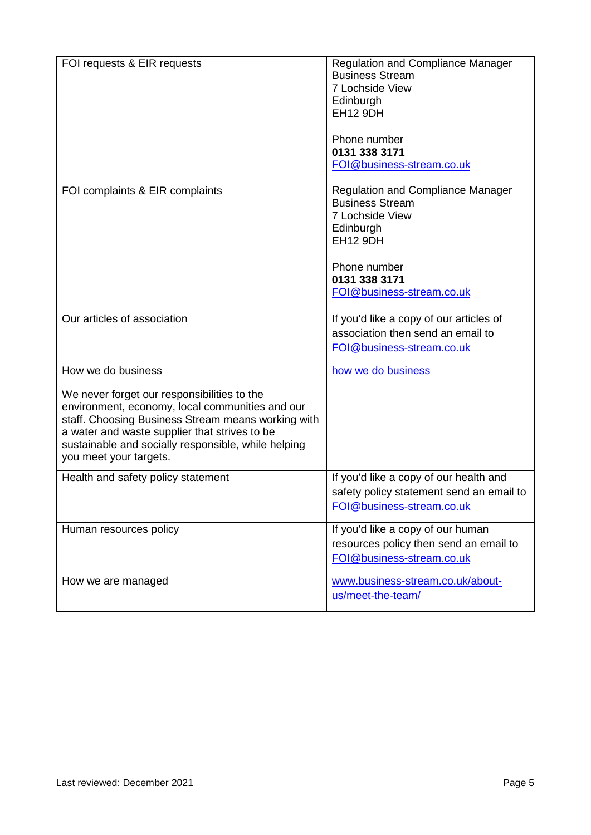| FOI requests & EIR requests                                                                                                                                                                                                                                                                                  | <b>Regulation and Compliance Manager</b><br><b>Business Stream</b><br>7 Lochside View<br>Edinburgh<br><b>EH12 9DH</b><br>Phone number<br>0131 338 3171<br>FOI@business-stream.co.uk |
|--------------------------------------------------------------------------------------------------------------------------------------------------------------------------------------------------------------------------------------------------------------------------------------------------------------|-------------------------------------------------------------------------------------------------------------------------------------------------------------------------------------|
| FOI complaints & EIR complaints                                                                                                                                                                                                                                                                              | <b>Regulation and Compliance Manager</b><br><b>Business Stream</b><br>7 Lochside View<br>Edinburgh<br><b>EH12 9DH</b><br>Phone number<br>0131 338 3171<br>FOI@business-stream.co.uk |
| Our articles of association                                                                                                                                                                                                                                                                                  | If you'd like a copy of our articles of<br>association then send an email to<br>FOI@business-stream.co.uk                                                                           |
| How we do business<br>We never forget our responsibilities to the<br>environment, economy, local communities and our<br>staff. Choosing Business Stream means working with<br>a water and waste supplier that strives to be<br>sustainable and socially responsible, while helping<br>you meet your targets. | how we do business                                                                                                                                                                  |
| Health and safety policy statement                                                                                                                                                                                                                                                                           | If you'd like a copy of our health and<br>safety policy statement send an email to<br>FOI@business-stream.co.uk                                                                     |
| Human resources policy                                                                                                                                                                                                                                                                                       | If you'd like a copy of our human<br>resources policy then send an email to<br>FOI@business-stream.co.uk                                                                            |
| How we are managed                                                                                                                                                                                                                                                                                           | www.business-stream.co.uk/about-<br>us/meet-the-team/                                                                                                                               |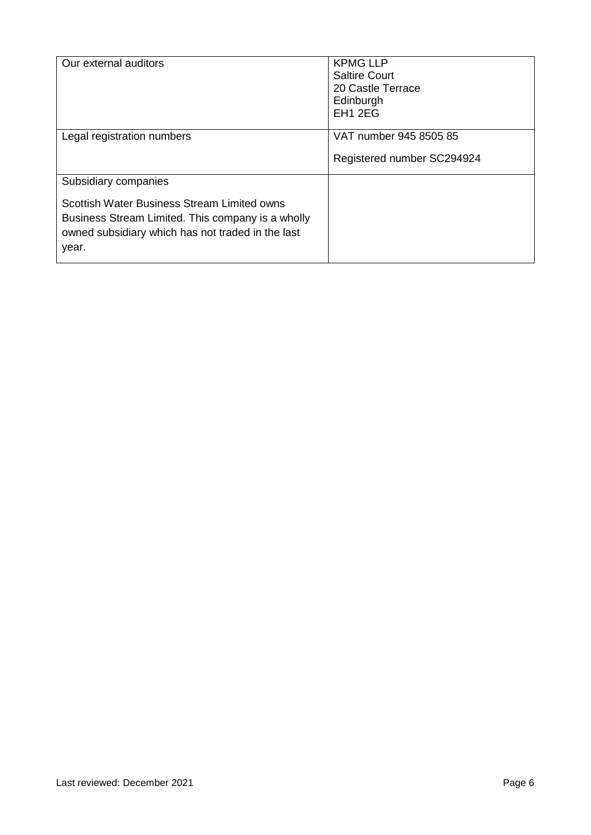| Our external auditors                                                                                                                                                                  | <b>KPMG LLP</b><br><b>Saltire Court</b><br>20 Castle Terrace<br>Edinburgh<br>EH1 2EG |
|----------------------------------------------------------------------------------------------------------------------------------------------------------------------------------------|--------------------------------------------------------------------------------------|
| Legal registration numbers                                                                                                                                                             | VAT number 945 8505 85<br>Registered number SC294924                                 |
| Subsidiary companies<br>Scottish Water Business Stream Limited owns<br>Business Stream Limited. This company is a wholly<br>owned subsidiary which has not traded in the last<br>year. |                                                                                      |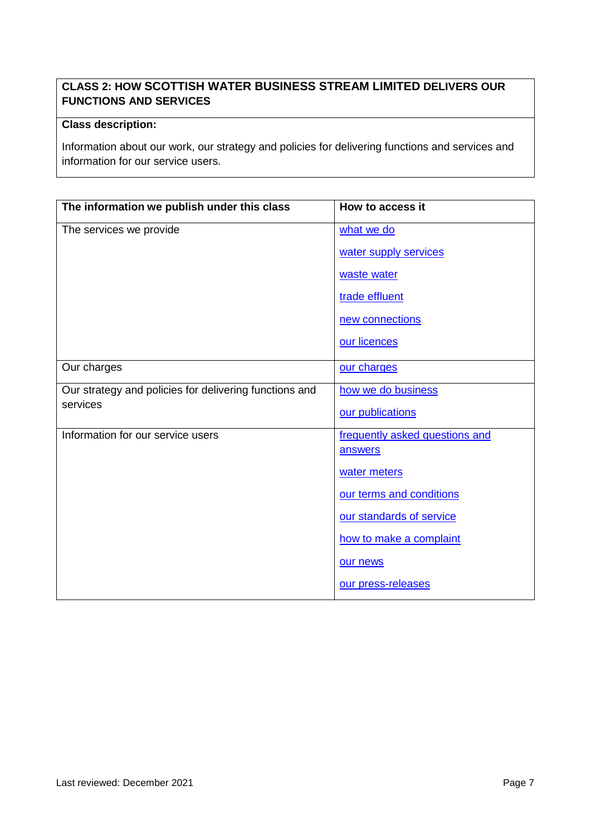# **CLASS 2: HOW SCOTTISH WATER BUSINESS STREAM LIMITED DELIVERS OUR FUNCTIONS AND SERVICES**

### **Class description:**

Information about our work, our strategy and policies for delivering functions and services and information for our service users.

| The information we publish under this class            | How to access it               |
|--------------------------------------------------------|--------------------------------|
| The services we provide                                | what we do                     |
|                                                        | water supply services          |
|                                                        | waste water                    |
|                                                        | trade effluent                 |
|                                                        | new connections                |
|                                                        | our licences                   |
| Our charges                                            | our charges                    |
| Our strategy and policies for delivering functions and | how we do business             |
| services                                               | our publications               |
| Information for our service users                      | frequently asked questions and |
|                                                        | answers                        |
|                                                        | water meters                   |
|                                                        | our terms and conditions       |
|                                                        | our standards of service       |
|                                                        | how to make a complaint        |
|                                                        | our news                       |
|                                                        | our press-releases             |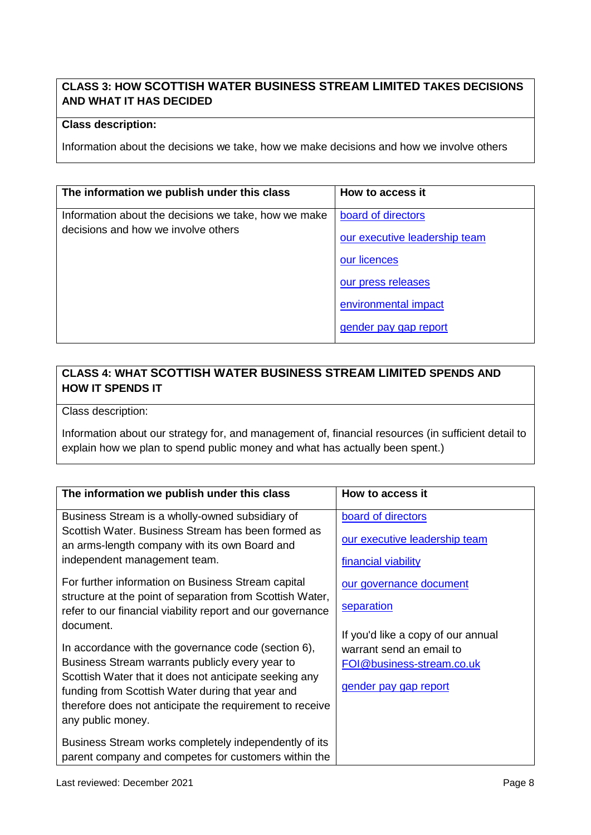## **CLASS 3: HOW SCOTTISH WATER BUSINESS STREAM LIMITED TAKES DECISIONS AND WHAT IT HAS DECIDED**

### **Class description:**

Information about the decisions we take, how we make decisions and how we involve others

| The information we publish under this class          | How to access it              |
|------------------------------------------------------|-------------------------------|
| Information about the decisions we take, how we make | board of directors            |
| decisions and how we involve others                  | our executive leadership team |
|                                                      | our licences                  |
|                                                      | our press releases            |
|                                                      | environmental impact          |
|                                                      | gender pay gap report         |

# **CLASS 4: WHAT SCOTTISH WATER BUSINESS STREAM LIMITED SPENDS AND HOW IT SPENDS IT**

Class description:

Information about our strategy for, and management of, financial resources (in sufficient detail to explain how we plan to spend public money and what has actually been spent.)

| The information we publish under this class                                                                                                                                                 | How to access it                   |
|---------------------------------------------------------------------------------------------------------------------------------------------------------------------------------------------|------------------------------------|
| Business Stream is a wholly-owned subsidiary of                                                                                                                                             | board of directors                 |
| Scottish Water, Business Stream has been formed as<br>an arms-length company with its own Board and                                                                                         | our executive leadership team      |
| independent management team.                                                                                                                                                                | financial viability                |
| For further information on Business Stream capital                                                                                                                                          | our governance document            |
| structure at the point of separation from Scottish Water,<br>refer to our financial viability report and our governance                                                                     | separation                         |
| document.                                                                                                                                                                                   | If you'd like a copy of our annual |
| In accordance with the governance code (section 6),                                                                                                                                         | warrant send an email to           |
| Business Stream warrants publicly every year to                                                                                                                                             | FOI@business-stream.co.uk          |
| Scottish Water that it does not anticipate seeking any<br>funding from Scottish Water during that year and<br>therefore does not anticipate the requirement to receive<br>any public money. | gender pay gap report              |
| Business Stream works completely independently of its<br>parent company and competes for customers within the                                                                               |                                    |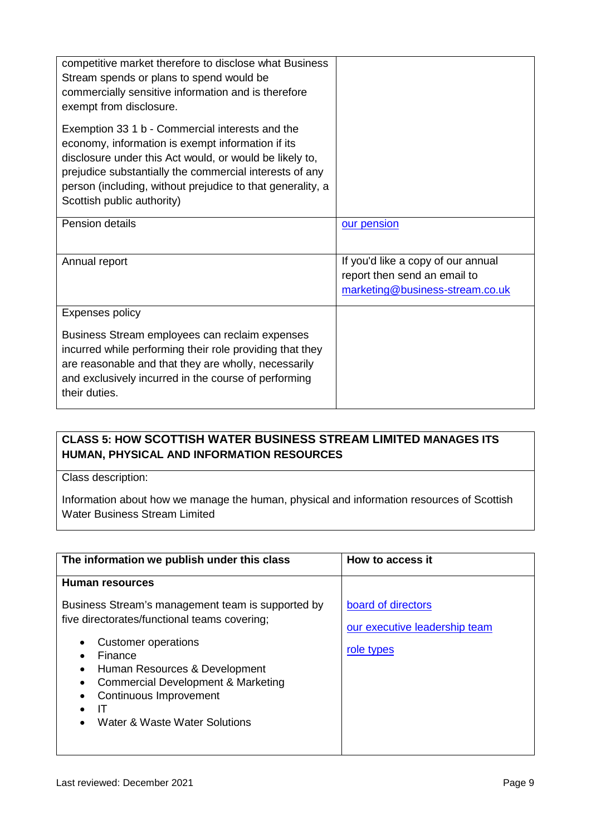| competitive market therefore to disclose what Business<br>Stream spends or plans to spend would be<br>commercially sensitive information and is therefore<br>exempt from disclosure.                                                                                                                                   |                                                                                                       |
|------------------------------------------------------------------------------------------------------------------------------------------------------------------------------------------------------------------------------------------------------------------------------------------------------------------------|-------------------------------------------------------------------------------------------------------|
| Exemption 33 1 b - Commercial interests and the<br>economy, information is exempt information if its<br>disclosure under this Act would, or would be likely to,<br>prejudice substantially the commercial interests of any<br>person (including, without prejudice to that generality, a<br>Scottish public authority) |                                                                                                       |
| Pension details                                                                                                                                                                                                                                                                                                        | our pension                                                                                           |
| Annual report                                                                                                                                                                                                                                                                                                          | If you'd like a copy of our annual<br>report then send an email to<br>marketing@business-stream.co.uk |
| Expenses policy                                                                                                                                                                                                                                                                                                        |                                                                                                       |
| Business Stream employees can reclaim expenses<br>incurred while performing their role providing that they<br>are reasonable and that they are wholly, necessarily<br>and exclusively incurred in the course of performing<br>their duties.                                                                            |                                                                                                       |

## **CLASS 5: HOW SCOTTISH WATER BUSINESS STREAM LIMITED MANAGES ITS HUMAN, PHYSICAL AND INFORMATION RESOURCES**

Class description:

Information about how we manage the human, physical and information resources of Scottish Water Business Stream Limited

| The information we publish under this class                                                                                                                                                                                                                                                  | How to access it                                                  |
|----------------------------------------------------------------------------------------------------------------------------------------------------------------------------------------------------------------------------------------------------------------------------------------------|-------------------------------------------------------------------|
| Human resources                                                                                                                                                                                                                                                                              |                                                                   |
| Business Stream's management team is supported by<br>five directorates/functional teams covering;<br><b>Customer operations</b><br>Finance<br>Human Resources & Development<br><b>Commercial Development &amp; Marketing</b><br>Continuous Improvement<br>Π<br>Water & Waste Water Solutions | board of directors<br>our executive leadership team<br>role types |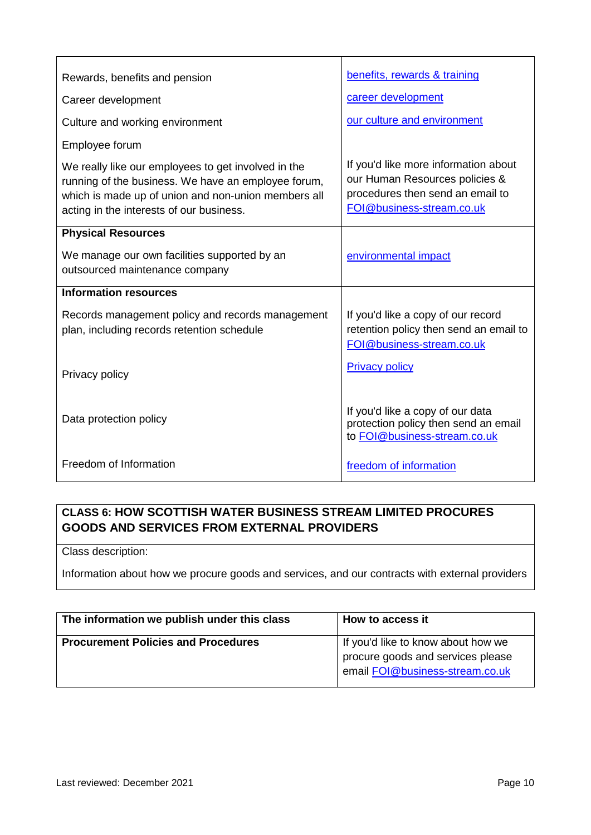| Rewards, benefits and pension                                                                                                                                                                                 | benefits, rewards & training                                                                                                            |
|---------------------------------------------------------------------------------------------------------------------------------------------------------------------------------------------------------------|-----------------------------------------------------------------------------------------------------------------------------------------|
| Career development                                                                                                                                                                                            | career development                                                                                                                      |
| Culture and working environment                                                                                                                                                                               | our culture and environment                                                                                                             |
| Employee forum                                                                                                                                                                                                |                                                                                                                                         |
| We really like our employees to get involved in the<br>running of the business. We have an employee forum,<br>which is made up of union and non-union members all<br>acting in the interests of our business. | If you'd like more information about<br>our Human Resources policies &<br>procedures then send an email to<br>FOI@business-stream.co.uk |
| <b>Physical Resources</b>                                                                                                                                                                                     |                                                                                                                                         |
| We manage our own facilities supported by an<br>outsourced maintenance company                                                                                                                                | environmental impact                                                                                                                    |
| <b>Information resources</b>                                                                                                                                                                                  |                                                                                                                                         |
| Records management policy and records management<br>plan, including records retention schedule                                                                                                                | If you'd like a copy of our record<br>retention policy then send an email to<br>FOI@business-stream.co.uk                               |
| Privacy policy                                                                                                                                                                                                | <b>Privacy policy</b>                                                                                                                   |
| Data protection policy                                                                                                                                                                                        | If you'd like a copy of our data<br>protection policy then send an email<br>to FOI@business-stream.co.uk                                |
| Freedom of Information                                                                                                                                                                                        | freedom of information                                                                                                                  |

# **CLASS 6: HOW SCOTTISH WATER BUSINESS STREAM LIMITED PROCURES GOODS AND SERVICES FROM EXTERNAL PROVIDERS**

Class description:

Information about how we procure goods and services, and our contracts with external providers

| The information we publish under this class | How to access it                                                                                           |
|---------------------------------------------|------------------------------------------------------------------------------------------------------------|
| <b>Procurement Policies and Procedures</b>  | If you'd like to know about how we<br>procure goods and services please<br>email FOI@business-stream.co.uk |